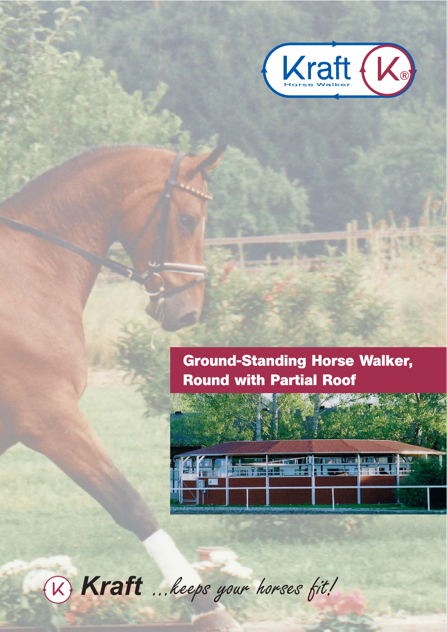

# **Ground-Standing Horse Walker, Round with Partial Roof**



® *Kraft* ...keeps your horses fit!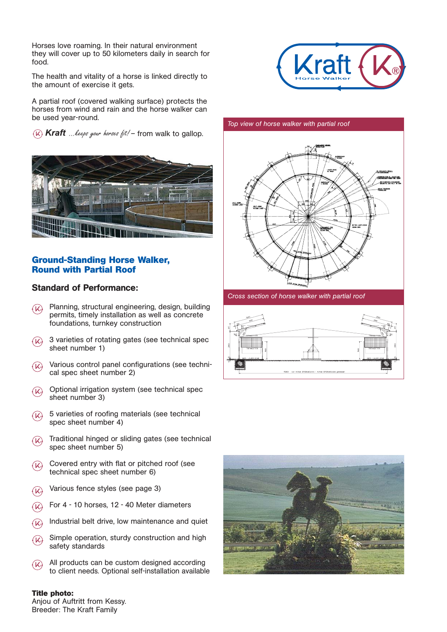Horses love roaming. In their natural environment they will cover up to 50 kilometers daily in search for food.

The health and vitality of a horse is linked directly to the amount of exercise it gets.

A partial roof (covered walking surface) protects the horses from wind and rain and the horse walker can be used year-round.

 $\mathcal{R}(k)$  Kraft *...keeps your horses fit!* – from walk to gallop.



# **Ground-Standing Horse Walker, Round with Partial Roof**

# Standard of Performance:

- Planning, structural engineering, design, building ® permits, timely installation as well as concrete foundations, turnkey construction
- 3 varieties of rotating gates (see technical spec ® sheet number 1)
- Various control panel configurations (see technical spec sheet number 2)  $(X)$
- Optional irrigation system (see technical spec ® sheet number 3)
- 5 varieties of roofing materials (see technical spec sheet number 4)  $\mathcal{R}$
- Traditional hinged or sliding gates (see technical ® spec sheet number 5)
- Covered entry with flat or pitched roof (see technical spec sheet number 6)  $(x)$
- Various fence styles (see page 3) ®
- For 4 10 horses, 12 40 Meter diameters  $\Omega$
- Industrial belt drive, low maintenance and quiet  $\mathcal{R}$
- Simple operation, sturdy construction and high safety standards ®
- All products can be custom designed according to client needs. Optional self-installation available  $(x)$



#### *Top view of horse walker with partial roof*



*Cross section of horse walker with partial roof*





**Title photo:** Anjou of Auftritt from Kessy. Breeder: The Kraft Family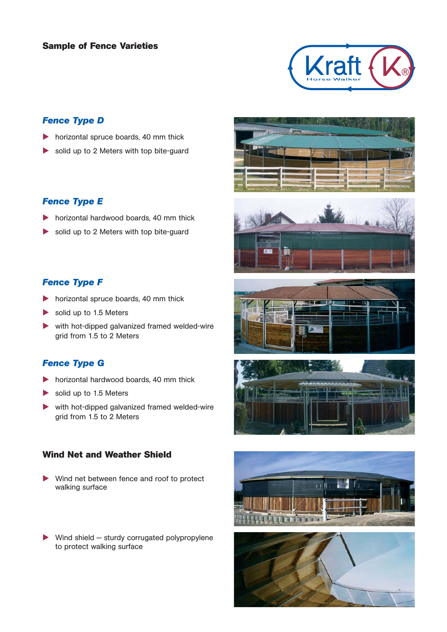## **Sample of Fence Varieties**



# *Fence Type D*

- horizontal spruce boards, 40 mm thick
- solid up to 2 Meters with top bite-guard

# *Fence Type E*

- horizontal hardwood boards, 40 mm thick
- solid up to 2 Meters with top bite-guard

# *Fence Type F*

- **horizontal spruce boards, 40 mm thick**
- solid up to 1.5 Meters
- with hot-dipped galvanized framed welded-wire grid from 1.5 to 2 Meters

# *Fence Type G*

- **horizontal hardwood boards, 40 mm thick**
- solid up to 1.5 Meters
- with hot-dipped galvanized framed welded-wire grid from 1.5 to 2 Meters

# **Wind Net and Weather Shield**

- Wind net between fence and roof to protect walking surface
- $\blacktriangleright$  Wind shield  $-$  sturdy corrugated polypropylene to protect walking surface